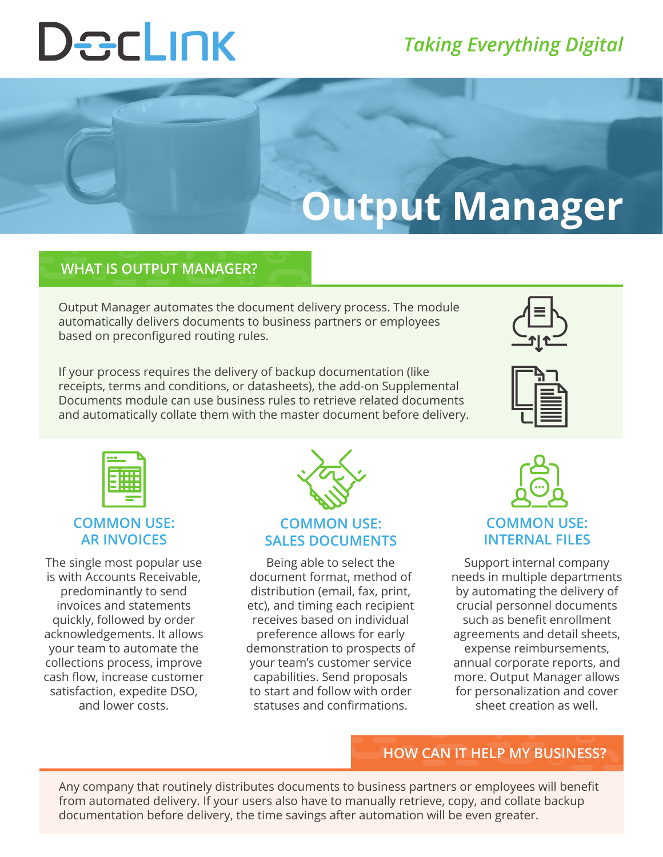# DecLINK

### *Taking Everything Digital*

## **Output Manager**

#### **WHAT IS OUTPUT MANAGER?**

Output Manager automates the document delivery process. The module automatically delivers documents to business partners or employees based on preconfigured routing rules.

If your process requires the delivery of backup documentation (like receipts, terms and conditions, or datasheets), the add-on Supplemental Documents module can use business rules to retrieve related documents and automatically collate them with the master document before delivery.







#### **COMMON USE: AR INVOICES**

The single most popular use is with Accounts Receivable, predominantly to send invoices and statements quickly, followed by order acknowledgements. It allows your team to automate the collections process, improve cash flow, increase customer satisfaction, expedite DSO, and lower costs.



#### **COMMON USE: SALES DOCUMENTS**

Being able to select the document format, method of distribution (email, fax, print, etc), and timing each recipient receives based on individual preference allows for early demonstration to prospects of your team's customer service capabilities. Send proposals to start and follow with order statuses and confirmations.



#### **COMMON USE: INTERNAL FILES**

Support internal company needs in multiple departments by automating the delivery of crucial personnel documents such as benefit enrollment agreements and detail sheets, expense reimbursements, annual corporate reports, and more. Output Manager allows for personalization and cover sheet creation as well.

#### **HOW CAN IT HELP MY BUSINESS?**

Any company that routinely distributes documents to business partners or employees will benefit from automated delivery. If your users also have to manually retrieve, copy, and collate backup documentation before delivery, the time savings after automation will be even greater.